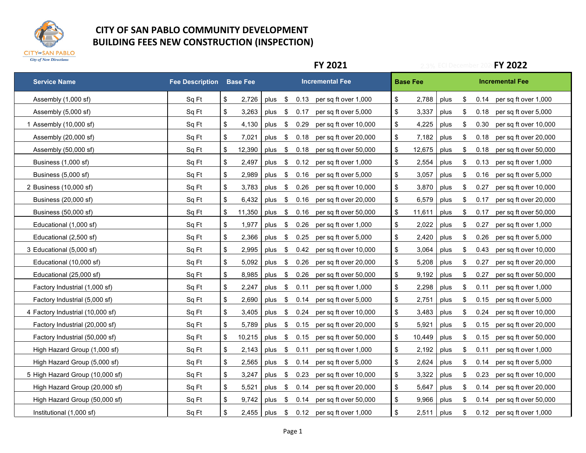

|                                  |                        |                 |                                 | <b>FY 2021</b>                            | <b>FY 2022</b><br><b>ECI December</b> |            |                               |  |  |  |
|----------------------------------|------------------------|-----------------|---------------------------------|-------------------------------------------|---------------------------------------|------------|-------------------------------|--|--|--|
| <b>Service Name</b>              | <b>Fee Description</b> | <b>Base Fee</b> |                                 | <b>Incremental Fee</b>                    | <b>Base Fee</b>                       |            | <b>Incremental Fee</b>        |  |  |  |
| Assembly (1,000 sf)              | Sq Ft                  | \$<br>2,726     | \$<br>plus                      | 0.13 per sq ft over 1,000                 | \$<br>2,788                           | \$<br>plus | 0.14<br>per sq ft over 1,000  |  |  |  |
| Assembly (5,000 sf)              | Sq Ft                  | \$<br>3,263     | \$<br>plus                      | per sq ft over 5,000<br>0.17              | \$<br>3,337                           | \$<br>plus | per sq ft over 5,000<br>0.18  |  |  |  |
| 1 Assembly (10,000 sf)           | Sq Ft                  | \$<br>4,130     | $\sqrt[6]{2}$<br>plus           | 0.29<br>per sq ft over 10,000             | \$<br>4,225                           | \$<br>plus | 0.30<br>per sq ft over 10,000 |  |  |  |
| Assembly (20,000 sf)             | Sq Ft                  | \$<br>7,021     | \$<br>plus                      | per sq ft over 20,000<br>0.18             | \$<br>7,182                           | \$<br>plus | per sq ft over 20,000<br>0.18 |  |  |  |
| Assembly (50,000 sf)             | Sq Ft                  | \$<br>12,390    | plus<br>\$                      | 0.18<br>per sq ft over 50,000             | $\sqrt[6]{3}$<br>12,675               | \$<br>plus | per sq ft over 50,000<br>0.18 |  |  |  |
| Business (1,000 sf)              | Sq Ft                  | \$<br>2,497     | plus<br>\$                      | 0.12<br>per sq ft over 1,000              | \$<br>2,554                           | \$<br>plus | 0.13<br>per sq ft over 1,000  |  |  |  |
| Business (5,000 sf)              | Sq Ft                  | \$<br>2,989     | \$<br>plus                      | 0.16<br>per sq ft over 5,000              | $\boldsymbol{\mathsf{\$}}$<br>3,057   | \$<br>plus | 0.16<br>per sq ft over 5,000  |  |  |  |
| 2 Business (10,000 sf)           | Sq Ft                  | \$<br>3,783     | \$<br>plus                      | 0.26<br>per sq ft over 10,000             | \$<br>3,870                           | \$<br>plus | per sq ft over 10,000<br>0.27 |  |  |  |
| Business (20,000 sf)             | Sq Ft                  | \$<br>6,432     | $\sqrt[6]{\frac{1}{2}}$<br>plus | 0.16<br>per sq ft over 20,000             | $\boldsymbol{\theta}$<br>6,579        | \$<br>plus | per sq ft over 20,000<br>0.17 |  |  |  |
| Business (50,000 sf)             | Sq Ft                  | 11,350<br>\$    | plus<br>\$                      | 0.16<br>per sq ft over 50,000             | \$<br>11,611                          | \$<br>plus | per sq ft over 50,000<br>0.17 |  |  |  |
| Educational (1,000 sf)           | Sq Ft                  | \$<br>1,977     | \$<br>plus                      | 0.26<br>per sq ft over 1,000              | \$<br>2,022                           | \$<br>plus | 0.27<br>per sq ft over 1,000  |  |  |  |
| Educational (2,500 sf)           | Sq Ft                  | \$<br>2,366     | plus<br>\$                      | 0.25<br>per sq ft over 5,000              | \$<br>2,420                           | \$<br>plus | 0.26<br>per sq ft over 5,000  |  |  |  |
| 3 Educational (5,000 sf)         | Sq Ft                  | \$<br>2,995     | \$<br>plus                      | 0.42<br>per sq ft over 10,000             | \$<br>3,064                           | \$<br>plus | 0.43<br>per sq ft over 10,000 |  |  |  |
| Educational (10,000 sf)          | Sq Ft                  | \$<br>5,092     | \$<br>plus                      | 0.26<br>per sq ft over 20,000             | \$<br>5,208                           | \$<br>plus | 0.27<br>per sq ft over 20,000 |  |  |  |
| Educational (25,000 sf)          | Sq Ft                  | \$<br>8,985     | plus<br>\$                      | 0.26<br>per sq ft over 50,000             | \$<br>9,192                           | \$<br>plus | per sq ft over 50,000<br>0.27 |  |  |  |
| Factory Industrial (1,000 sf)    | Sq Ft                  | \$<br>2,247     | \$<br>plus                      | 0.11<br>per sq ft over 1,000              | \$<br>2,298                           | \$<br>plus | 0.11<br>per sq ft over 1,000  |  |  |  |
| Factory Industrial (5,000 sf)    | Sq Ft                  | \$<br>2,690     | \$<br>plus                      | 0.14<br>per sq ft over 5,000              | \$<br>2,751                           | \$<br>plus | per sq ft over 5,000<br>0.15  |  |  |  |
| 4 Factory Industrial (10,000 sf) | Sq Ft                  | \$<br>3,405     | plus<br>\$                      | 0.24<br>per sq ft over 10,000             | $\boldsymbol{\mathsf{\$}}$<br>3,483   | \$<br>plus | 0.24<br>per sq ft over 10,000 |  |  |  |
| Factory Industrial (20,000 sf)   | Sq Ft                  | \$<br>5,789     | \$<br>plus                      | 0.15<br>per sq ft over 20,000             | \$<br>5,921                           | \$<br>plus | 0.15<br>per sq ft over 20,000 |  |  |  |
| Factory Industrial (50,000 sf)   | Sq Ft                  | \$<br>10,215    | $\sqrt[6]{\frac{1}{2}}$<br>plus | 0.15<br>per sq ft over 50,000             | \$<br>10,449                          | \$<br>plus | 0.15<br>per sq ft over 50,000 |  |  |  |
| High Hazard Group (1,000 sf)     | Sq Ft                  | \$<br>2,143     | $\sqrt[6]{\frac{1}{2}}$<br>plus | 0.11<br>per sq ft over 1,000              | $\boldsymbol{\mathsf{\$}}$<br>2,192   | \$<br>plus | 0.11<br>per sq ft over 1,000  |  |  |  |
| High Hazard Group (5,000 sf)     | Sq Ft                  | \$<br>2,565     | \$<br>plus                      | 0.14<br>per sq ft over 5,000              | \$<br>2,624                           | \$<br>plus | 0.14<br>per sq ft over 5,000  |  |  |  |
| 5 High Hazard Group (10,000 sf)  | Sq Ft                  | \$<br>3,247     | \$<br>plus                      | 0.23<br>per sq ft over 10,000             | \$<br>3,322                           | \$<br>plus | 0.23<br>per sq ft over 10,000 |  |  |  |
| High Hazard Group (20,000 sf)    | Sq Ft                  | \$<br>5,521     | \$<br>plus                      | 0.14<br>per sq ft over 20,000             | \$<br>5,647                           | \$<br>plus | 0.14<br>per sq ft over 20,000 |  |  |  |
| High Hazard Group (50,000 sf)    | Sq Ft                  | \$<br>9,742     | \$<br>plus                      | 0.14<br>per sq ft over 50,000             | $\boldsymbol{\mathsf{\$}}$<br>9,966   | \$<br>plus | 0.14<br>per sq ft over 50,000 |  |  |  |
| Institutional (1,000 sf)         | Sq Ft                  | \$              |                                 | 2,455   plus \$ 0.12 per sq ft over 1,000 | $\boldsymbol{\mathsf{S}}$<br>2,511    | \$<br>plus | 0.12 per sq ft over 1,000     |  |  |  |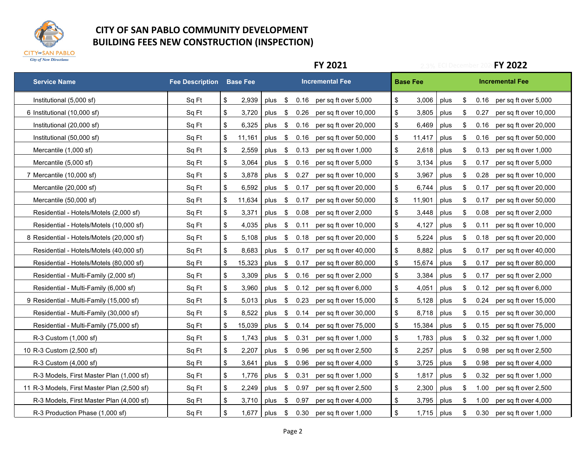

|                                             |                        |                                    |                       |                       | <b>FY 2021</b>         | <b>FY 2022</b><br>ECI Decembe |                 |      |                         |      |                        |
|---------------------------------------------|------------------------|------------------------------------|-----------------------|-----------------------|------------------------|-------------------------------|-----------------|------|-------------------------|------|------------------------|
| <b>Service Name</b>                         | <b>Fee Description</b> | <b>Base Fee</b>                    |                       |                       | <b>Incremental Fee</b> |                               | <b>Base Fee</b> |      |                         |      | <b>Incremental Fee</b> |
| Institutional (5,000 sf)                    | Sq Ft                  | \$<br>2,939                        | plus<br>- \$          | 0.16                  | per sq ft over 5,000   | \$                            | 3,006           | plus | \$                      | 0.16 | per sq ft over 5,000   |
| 6 Institutional (10,000 sf)                 | Sq Ft                  | $\sqrt[6]{\frac{1}{2}}$<br>3,720   | plus                  | \$<br>0.26            | per sq ft over 10,000  | \$                            | 3,805           | plus | \$                      | 0.27 | per sq ft over 10,000  |
| Institutional (20,000 sf)                   | Sq Ft                  | $\boldsymbol{\$}$<br>6,325         | $\sqrt{3}$<br>plus    | 0.16                  | per sq ft over 20,000  | \$                            | 6,469           | plus | \$                      | 0.16 | per sq ft over 20,000  |
| Institutional (50,000 sf)                   | Sq Ft                  | \$<br>11,161                       | plus                  | 0.16<br>\$            | per sq ft over 50,000  | \$                            | 11,417          | plus | \$                      | 0.16 | per sq ft over 50,000  |
| Mercantile (1,000 sf)                       | Sq Ft                  | $\boldsymbol{\$}$<br>2,559         | plus                  | \$<br>0.13            | per sq ft over 1,000   | \$                            | 2,618           | plus | \$                      | 0.13 | per sq ft over 1,000   |
| Mercantile (5,000 sf)                       | Sq Ft                  | \$<br>3.064                        | plus \$               | 0.16                  | per sq ft over 5,000   | \$                            | 3,134           | plus | \$                      | 0.17 | per sq ft over 5,000   |
| 7 Mercantile (10,000 sf)                    | Sq Ft                  | $\sqrt[6]{\frac{1}{2}}$<br>3,878   | plus                  | \$<br>0.27            | per sq ft over 10,000  | \$                            | 3,967           | plus | $\sqrt[6]{\frac{1}{2}}$ | 0.28 | per sq ft over 10,000  |
| Mercantile (20,000 sf)                      | Sq Ft                  | \$<br>6,592                        | plus                  | \$<br>0.17            | per sq ft over 20,000  | \$                            | 6,744           | plus | \$                      | 0.17 | per sq ft over 20,000  |
| Mercantile (50,000 sf)                      | Sq Ft                  | \$<br>11,634                       | $\sqrt{3}$<br>plus    | 0.17                  | per sq ft over 50,000  | \$                            | 11,901          | plus | \$                      | 0.17 | per sq ft over 50,000  |
| Residential - Hotels/Motels (2,000 sf)      | Sq Ft                  | $\sqrt[6]{\frac{1}{2}}$<br>3.371   | plus                  | \$<br>0.08            | per sq ft over 2,000   | \$                            | 3,448           | plus | \$                      | 0.08 | per sq ft over 2,000   |
| Residential - Hotels/Motels (10,000 sf)     | Sq Ft                  | $\sqrt[6]{\frac{1}{2}}$<br>4,035   | plus                  | \$<br>0.11            | per sq ft over 10,000  | \$                            | 4,127           | plus | \$                      | 0.11 | per sq ft over 10,000  |
| 8 Residential - Hotels/Motels (20,000 sf)   | Sq Ft                  | \$<br>5,108                        | plus<br>$\mathfrak s$ | 0.18                  | per sq ft over 20,000  | \$                            | 5,224           | plus | \$                      | 0.18 | per sq ft over 20,000  |
| Residential - Hotels/Motels (40,000 sf)     | Sq Ft                  | $\sqrt[6]{\frac{1}{2}}$<br>8,683   | plus                  | \$<br>0.17            | per sq ft over 40,000  | \$                            | 8,882           | plus | \$                      | 0.17 | per sq ft over 40,000  |
| Residential - Hotels/Motels (80,000 sf)     | Sq Ft                  | \$<br>15,323                       | plus                  | \$<br>0.17            | per sq ft over 80,000  | \$                            | 15,674          | plus | \$                      | 0.17 | per sq ft over 80,000  |
| Residential - Multi-Family (2,000 sf)       | Sq Ft                  | $\boldsymbol{\$}$<br>3,309         | plus                  | $\sqrt[6]{2}$<br>0.16 | per sq ft over 2,000   | \$                            | 3,384           | plus | \$                      | 0.17 | per sq ft over 2,000   |
| Residential - Multi-Family (6,000 sf)       | Sq Ft                  | \$<br>3,960                        | $\sqrt{3}$<br>plus    | 0.12                  | per sq ft over 6,000   | \$                            | 4,051           | plus | \$                      | 0.12 | per sq ft over 6,000   |
| 9 Residential - Multi-Family (15,000 sf)    | Sq Ft                  | \$<br>5,013                        | plus                  | \$<br>0.23            | per sq ft over 15,000  | \$                            | 5,128           | plus | \$                      | 0.24 | per sq ft over 15,000  |
| Residential - Multi-Family (30,000 sf)      | Sq Ft                  | $\boldsymbol{\$}$<br>8,522         | plus                  | \$<br>0.14            | per sq ft over 30,000  | \$                            | 8,718           | plus | \$                      | 0.15 | per sq ft over 30,000  |
| Residential - Multi-Family (75,000 sf)      | Sq Ft                  | $\sqrt[6]{\frac{1}{2}}$<br>15,039  | plus                  | \$<br>0.14            | per sq ft over 75,000  | \$                            | 15,384          | plus | $\sqrt[6]{\frac{1}{2}}$ | 0.15 | per sq ft over 75,000  |
| R-3 Custom (1,000 sf)                       | Sq Ft                  | $\boldsymbol{\$}$<br>1,743         | plus                  | \$<br>0.31            | per sq ft over 1,000   | \$                            | 1,783           | plus | $\sqrt[6]{\frac{1}{2}}$ | 0.32 | per sq ft over 1,000   |
| 10 R-3 Custom (2,500 sf)                    | Sq Ft                  | \$<br>2,207                        | plus                  | -\$<br>0.96           | per sq ft over 2,500   | \$                            | 2,257           | plus | \$                      | 0.98 | per sq ft over 2,500   |
| R-3 Custom (4,000 sf)                       | Sq Ft                  | $\sqrt[6]{\frac{1}{2}}$<br>3,641   | $\sqrt{3}$<br>plus    | 0.96                  | per sq ft over 4,000   | \$                            | 3,725           | plus | \$                      | 0.98 | per sq ft over 4,000   |
| R-3 Models, First Master Plan (1,000 sf)    | Sq Ft                  | $\boldsymbol{\mathsf{S}}$<br>1,776 | plus                  | $\sqrt{3}$<br>0.31    | per sq ft over 1,000   | \$                            | 1,817           | plus | \$                      | 0.32 | per sq ft over 1,000   |
| 11 R-3 Models, First Master Plan (2,500 sf) | Sq Ft                  | \$<br>2,249                        | plus                  | \$<br>0.97            | per sq ft over 2,500   | \$                            | 2,300           | plus | \$                      | 1.00 | per sq ft over 2,500   |
| R-3 Models, First Master Plan (4,000 sf)    | Sq Ft                  | $\sqrt[6]{\frac{1}{2}}$<br>3,710   | $\sqrt{3}$<br>plus    | 0.97                  | per sq ft over 4,000   | \$                            | 3,795           | plus | \$                      | 1.00 | per sq ft over 4,000   |
| R-3 Production Phase (1,000 sf)             | Sq Ft                  | $\sqrt[6]{\frac{1}{2}}$            | 1,677 plus \$         | 0.30                  | per sq ft over 1,000   | \$                            | 1,715 plus      |      | \$                      | 0.30 | per sq ft over 1,000   |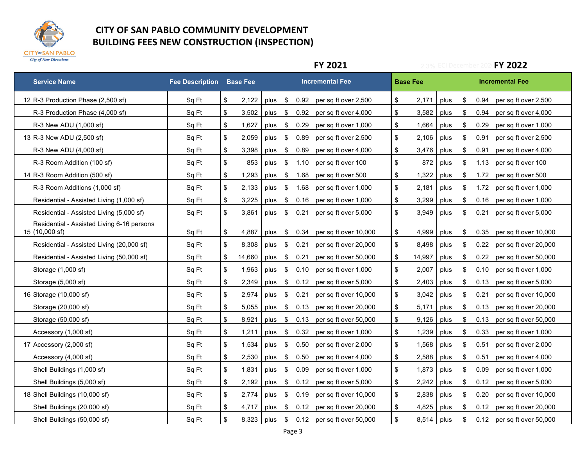

|                                                              |                                 |                         |            |      |               |      | <b>FY 2021</b>         | <b>FY 2022</b><br><b>ECI December</b> |                 |      |                           |      |                        |
|--------------------------------------------------------------|---------------------------------|-------------------------|------------|------|---------------|------|------------------------|---------------------------------------|-----------------|------|---------------------------|------|------------------------|
| <b>Service Name</b>                                          | <b>Fee Description Base Fee</b> |                         |            |      |               |      | <b>Incremental Fee</b> |                                       | <b>Base Fee</b> |      |                           |      | <b>Incremental Fee</b> |
| 12 R-3 Production Phase (2,500 sf)                           | Sq Ft                           | \$                      | 2,122      | plus | - \$          | 0.92 | per sq ft over 2,500   | \$                                    | 2,171           | plus | \$                        | 0.94 | per sq ft over 2,500   |
| R-3 Production Phase (4,000 sf)                              | Sq Ft                           | \$                      | 3,502      | plus | \$            | 0.92 | per sq ft over 4,000   | \$                                    | 3,582           | plus | \$                        | 0.94 | per sq ft over 4,000   |
| R-3 New ADU (1,000 sf)                                       | Sq Ft                           | \$                      | 1,627      | plus | \$            | 0.29 | per sq ft over 1,000   | \$                                    | 1,664           | plus | \$                        | 0.29 | per sq ft over 1,000   |
| 13 R-3 New ADU (2,500 sf)                                    | Sq Ft                           | \$                      | 2,059      | plus | \$            | 0.89 | per sq ft over 2,500   | \$                                    | 2,106           | plus | \$                        | 0.91 | per sq ft over 2,500   |
| R-3 New ADU (4,000 sf)                                       | Sq Ft                           | \$                      | 3,398      | plus | \$            | 0.89 | per sq ft over 4,000   | \$                                    | 3,476           | plus | \$                        | 0.91 | per sq ft over 4,000   |
| R-3 Room Addition (100 sf)                                   | Sq Ft                           | \$                      | 853        | plus | $\sqrt[6]{3}$ | 1.10 | per sq ft over 100     | \$                                    | 872             | plus | \$                        | 1.13 | per sq ft over 100     |
| 14 R-3 Room Addition (500 sf)                                | Sq Ft                           | \$                      | 1,293      | plus | \$            | 1.68 | per sq ft over 500     | \$                                    | 1,322           | plus | \$                        | 1.72 | per sq ft over 500     |
| R-3 Room Additions (1,000 sf)                                | Sq Ft                           | \$                      | 2,133      | plus | -\$           | 1.68 | per sq ft over 1,000   | \$                                    | 2,181           | plus | \$                        | 1.72 | per sq ft over 1,000   |
| Residential - Assisted Living (1,000 sf)                     | Sq Ft                           | \$                      | 3,225      | plus | $\sqrt[6]{2}$ | 0.16 | per sq ft over 1,000   | \$                                    | 3,299           | plus | \$                        | 0.16 | per sq ft over 1,000   |
| Residential - Assisted Living (5,000 sf)                     | Sq Ft                           | \$                      | 3.861      | plus | \$            | 0.21 | per sq ft over 5,000   | \$                                    | 3,949           | plus | \$                        | 0.21 | per sq ft over 5,000   |
| Residential - Assisted Living 6-16 persons<br>15 (10,000 sf) | Sq Ft                           | \$                      | 4,887      | plus | \$            | 0.34 | per sq ft over 10,000  | \$                                    | 4,999           | plus | \$                        | 0.35 | per sq ft over 10,000  |
| Residential - Assisted Living (20,000 sf)                    | Sq Ft                           | \$                      | 8.308      | plus | \$            | 0.21 | per sq ft over 20,000  | \$                                    | 8,498           | plus | \$                        | 0.22 | per sq ft over 20,000  |
| Residential - Assisted Living (50,000 sf)                    | Sq Ft                           | \$                      | 14,660     | plus | \$            | 0.21 | per sq ft over 50,000  | \$                                    | 14,997          | plus | \$                        | 0.22 | per sq ft over 50,000  |
| Storage (1,000 sf)                                           | Sq Ft                           | \$                      | 1,963      | plus | \$            | 0.10 | per sq ft over 1,000   | \$                                    | 2,007           | plus | \$                        | 0.10 | per sq ft over 1,000   |
| Storage (5,000 sf)                                           | Sq Ft                           | \$                      | 2,349      | plus | $\sqrt[6]{3}$ | 0.12 | per sq ft over 5,000   | \$                                    | 2,403           | plus | \$                        | 0.13 | per sq ft over 5,000   |
| 16 Storage (10,000 sf)                                       | Sq Ft                           | \$                      | 2.974      | plus | \$            | 0.21 | per sq ft over 10,000  | \$                                    | 3,042           | plus | \$                        | 0.21 | per sq ft over 10,000  |
| Storage (20,000 sf)                                          | Sq Ft                           | \$                      | 5,055      | plus | -\$           | 0.13 | per sq ft over 20,000  | \$                                    | 5,171           | plus | \$                        | 0.13 | per sq ft over 20,000  |
| Storage (50,000 sf)                                          | Sq Ft                           | \$                      | 8,921      | plus | \$            | 0.13 | per sq ft over 50,000  | \$                                    | 9,126           | plus | \$                        | 0.13 | per sq ft over 50,000  |
| Accessory (1,000 sf)                                         | Sq Ft                           | \$                      | 1,211      | plus | - \$          | 0.32 | per sq ft over 1,000   | \$                                    | 1,239           | plus | \$                        | 0.33 | per sq ft over 1,000   |
| 17 Accessory (2,000 sf)                                      | Sq Ft                           | \$                      | 1.534      | plus | -\$           | 0.50 | per sq ft over 2,000   | \$                                    | 1,568           | plus | \$                        | 0.51 | per sq ft over 2,000   |
| Accessory (4,000 sf)                                         | Sq Ft                           | \$                      | 2,530      | plus | \$            | 0.50 | per sq ft over 4,000   | \$                                    | 2,588           | plus | $\boldsymbol{\mathsf{S}}$ | 0.51 | per sq ft over 4,000   |
| Shell Buildings (1,000 sf)                                   | Sq Ft                           | \$                      | 1,831      | plus | -\$           | 0.09 | per sq ft over 1,000   | \$                                    | 1,873           | plus | \$                        | 0.09 | per sq ft over 1,000   |
| Shell Buildings (5,000 sf)                                   | Sq Ft                           | \$                      | 2.192      | plus | -\$           | 0.12 | per sq ft over 5,000   | \$                                    | 2,242           | plus | \$                        | 0.12 | per sq ft over 5,000   |
| 18 Shell Buildings (10,000 sf)                               | Sq Ft                           | \$                      | 2,774      | plus | -\$           | 0.19 | per sq ft over 10,000  | \$                                    | 2,838           | plus | $\sqrt[6]{\frac{1}{2}}$   | 0.20 | per sq ft over 10,000  |
| Shell Buildings (20,000 sf)                                  | Sq Ft                           | \$                      | 4,717      | plus | - \$          | 0.12 | per sq ft over 20,000  | \$                                    | 4,825           | plus | \$                        | 0.12 | per sq ft over 20,000  |
| Shell Buildings (50,000 sf)                                  | Sq Ft                           | $\sqrt[6]{\frac{1}{2}}$ | 8,323 plus |      | - \$          | 0.12 | per sq ft over 50,000  | $\sqrt[6]{\frac{1}{2}}$               | 8,514 plus      |      | \$                        | 0.12 | per sq ft over 50,000  |